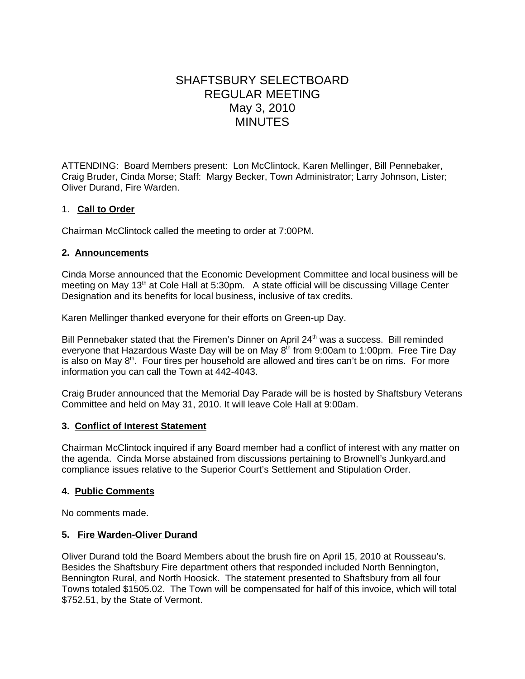# SHAFTSBURY SELECTBOARD REGULAR MEETING May 3, 2010 MINUTES

ATTENDING: Board Members present: Lon McClintock, Karen Mellinger, Bill Pennebaker, Craig Bruder, Cinda Morse; Staff: Margy Becker, Town Administrator; Larry Johnson, Lister; Oliver Durand, Fire Warden.

## 1. **Call to Order**

Chairman McClintock called the meeting to order at 7:00PM.

## **2. Announcements**

Cinda Morse announced that the Economic Development Committee and local business will be meeting on May 13<sup>th</sup> at Cole Hall at 5:30pm. A state official will be discussing Village Center Designation and its benefits for local business, inclusive of tax credits.

Karen Mellinger thanked everyone for their efforts on Green-up Day.

Bill Pennebaker stated that the Firemen's Dinner on April 24<sup>th</sup> was a success. Bill reminded everyone that Hazardous Waste Day will be on May 8<sup>th</sup> from 9:00am to 1:00pm. Free Tire Day is also on May  $8<sup>th</sup>$ . Four tires per household are allowed and tires can't be on rims. For more information you can call the Town at 442-4043.

Craig Bruder announced that the Memorial Day Parade will be is hosted by Shaftsbury Veterans Committee and held on May 31, 2010. It will leave Cole Hall at 9:00am.

### **3. Conflict of Interest Statement**

Chairman McClintock inquired if any Board member had a conflict of interest with any matter on the agenda. Cinda Morse abstained from discussions pertaining to Brownell's Junkyard.and compliance issues relative to the Superior Court's Settlement and Stipulation Order.

### **4. Public Comments**

No comments made.

## **5. Fire Warden-Oliver Durand**

Oliver Durand told the Board Members about the brush fire on April 15, 2010 at Rousseau's. Besides the Shaftsbury Fire department others that responded included North Bennington, Bennington Rural, and North Hoosick. The statement presented to Shaftsbury from all four Towns totaled \$1505.02. The Town will be compensated for half of this invoice, which will total \$752.51, by the State of Vermont.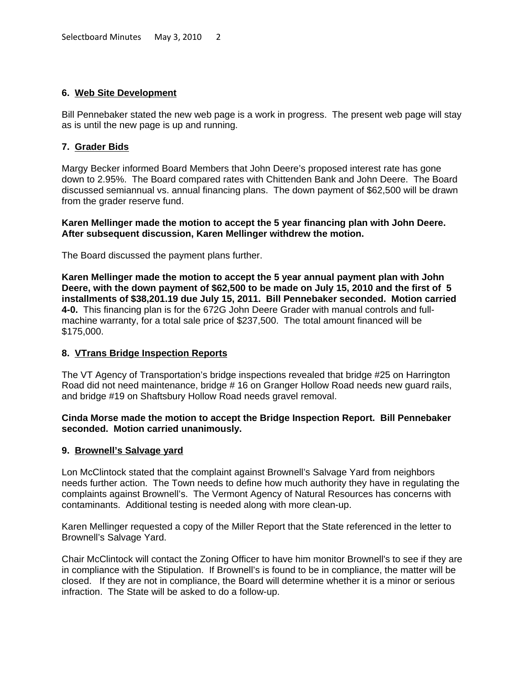## **6. Web Site Development**

Bill Pennebaker stated the new web page is a work in progress. The present web page will stay as is until the new page is up and running.

## **7. Grader Bids**

Margy Becker informed Board Members that John Deere's proposed interest rate has gone down to 2.95%. The Board compared rates with Chittenden Bank and John Deere. The Board discussed semiannual vs. annual financing plans. The down payment of \$62,500 will be drawn from the grader reserve fund.

**Karen Mellinger made the motion to accept the 5 year financing plan with John Deere. After subsequent discussion, Karen Mellinger withdrew the motion.**

The Board discussed the payment plans further.

**Karen Mellinger made the motion to accept the 5 year annual payment plan with John Deere, with the down payment of \$62,500 to be made on July 15, 2010 and the first of 5 installments of \$38,201.19 due July 15, 2011. Bill Pennebaker seconded. Motion carried 4-0.** This financing plan is for the 672G John Deere Grader with manual controls and fullmachine warranty, for a total sale price of \$237,500. The total amount financed will be \$175,000.

### **8. VTrans Bridge Inspection Reports**

The VT Agency of Transportation's bridge inspections revealed that bridge #25 on Harrington Road did not need maintenance, bridge # 16 on Granger Hollow Road needs new guard rails, and bridge #19 on Shaftsbury Hollow Road needs gravel removal.

### **Cinda Morse made the motion to accept the Bridge Inspection Report. Bill Pennebaker seconded. Motion carried unanimously.**

### **9. Brownell's Salvage yard**

Lon McClintock stated that the complaint against Brownell's Salvage Yard from neighbors needs further action. The Town needs to define how much authority they have in regulating the complaints against Brownell's. The Vermont Agency of Natural Resources has concerns with contaminants. Additional testing is needed along with more clean-up.

Karen Mellinger requested a copy of the Miller Report that the State referenced in the letter to Brownell's Salvage Yard.

Chair McClintock will contact the Zoning Officer to have him monitor Brownell's to see if they are in compliance with the Stipulation. If Brownell's is found to be in compliance, the matter will be closed. If they are not in compliance, the Board will determine whether it is a minor or serious infraction. The State will be asked to do a follow-up.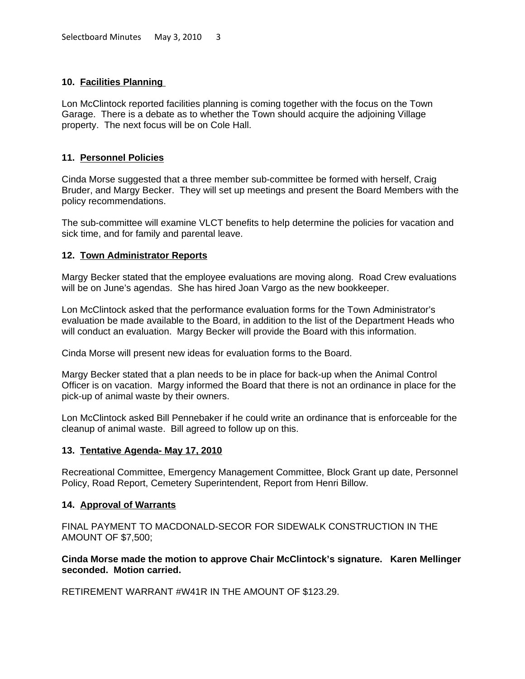## **10. Facilities Planning**

Lon McClintock reported facilities planning is coming together with the focus on the Town Garage. There is a debate as to whether the Town should acquire the adjoining Village property. The next focus will be on Cole Hall.

## **11. Personnel Policies**

Cinda Morse suggested that a three member sub-committee be formed with herself, Craig Bruder, and Margy Becker. They will set up meetings and present the Board Members with the policy recommendations.

The sub-committee will examine VLCT benefits to help determine the policies for vacation and sick time, and for family and parental leave.

### **12. Town Administrator Reports**

Margy Becker stated that the employee evaluations are moving along. Road Crew evaluations will be on June's agendas. She has hired Joan Vargo as the new bookkeeper.

Lon McClintock asked that the performance evaluation forms for the Town Administrator's evaluation be made available to the Board, in addition to the list of the Department Heads who will conduct an evaluation. Margy Becker will provide the Board with this information.

Cinda Morse will present new ideas for evaluation forms to the Board.

Margy Becker stated that a plan needs to be in place for back-up when the Animal Control Officer is on vacation. Margy informed the Board that there is not an ordinance in place for the pick-up of animal waste by their owners.

Lon McClintock asked Bill Pennebaker if he could write an ordinance that is enforceable for the cleanup of animal waste. Bill agreed to follow up on this.

### **13. Tentative Agenda- May 17, 2010**

Recreational Committee, Emergency Management Committee, Block Grant up date, Personnel Policy, Road Report, Cemetery Superintendent, Report from Henri Billow.

### **14. Approval of Warrants**

FINAL PAYMENT TO MACDONALD-SECOR FOR SIDEWALK CONSTRUCTION IN THE AMOUNT OF \$7,500;

### **Cinda Morse made the motion to approve Chair McClintock's signature. Karen Mellinger seconded. Motion carried.**

RETIREMENT WARRANT #W41R IN THE AMOUNT OF \$123.29.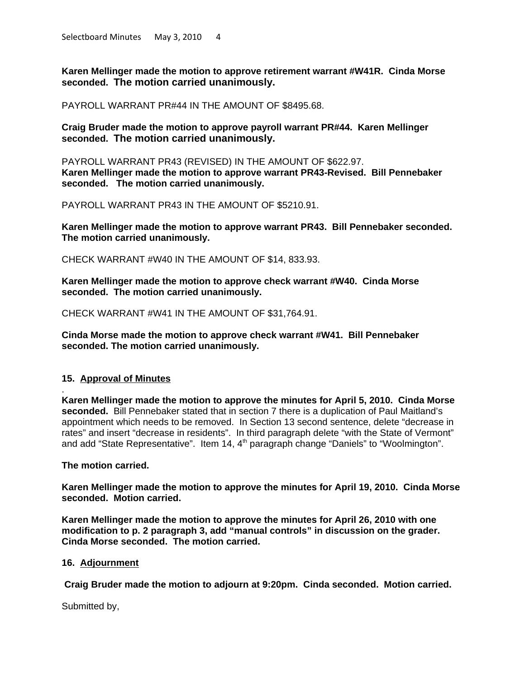**Karen Mellinger made the motion to approve retirement warrant #W41R. Cinda Morse seconded. The motion carried unanimously.**

PAYROLL WARRANT PR#44 IN THE AMOUNT OF \$8495.68.

**Craig Bruder made the motion to approve payroll warrant PR#44. Karen Mellinger seconded. The motion carried unanimously.**

PAYROLL WARRANT PR43 (REVISED) IN THE AMOUNT OF \$622.97. **Karen Mellinger made the motion to approve warrant PR43-Revised. Bill Pennebaker seconded. The motion carried unanimously.**

PAYROLL WARRANT PR43 IN THE AMOUNT OF \$5210.91.

**Karen Mellinger made the motion to approve warrant PR43. Bill Pennebaker seconded. The motion carried unanimously.**

CHECK WARRANT #W40 IN THE AMOUNT OF \$14, 833.93.

**Karen Mellinger made the motion to approve check warrant #W40. Cinda Morse seconded. The motion carried unanimously.**

CHECK WARRANT #W41 IN THE AMOUNT OF \$31,764.91.

**Cinda Morse made the motion to approve check warrant #W41. Bill Pennebaker seconded. The motion carried unanimously.**

### **15. Approval of Minutes**

.

**Karen Mellinger made the motion to approve the minutes for April 5, 2010. Cinda Morse seconded.** Bill Pennebaker stated that in section 7 there is a duplication of Paul Maitland's appointment which needs to be removed. In Section 13 second sentence, delete "decrease in rates" and insert "decrease in residents". In third paragraph delete "with the State of Vermont" and add "State Representative". Item 14,  $4<sup>th</sup>$  paragraph change "Daniels" to "Woolmington".

**The motion carried.**

**Karen Mellinger made the motion to approve the minutes for April 19, 2010. Cinda Morse seconded. Motion carried.**

**Karen Mellinger made the motion to approve the minutes for April 26, 2010 with one modification to p. 2 paragraph 3, add "manual controls" in discussion on the grader. Cinda Morse seconded. The motion carried.**

#### **16. Adjournment**

 **Craig Bruder made the motion to adjourn at 9:20pm. Cinda seconded. Motion carried.**

Submitted by,